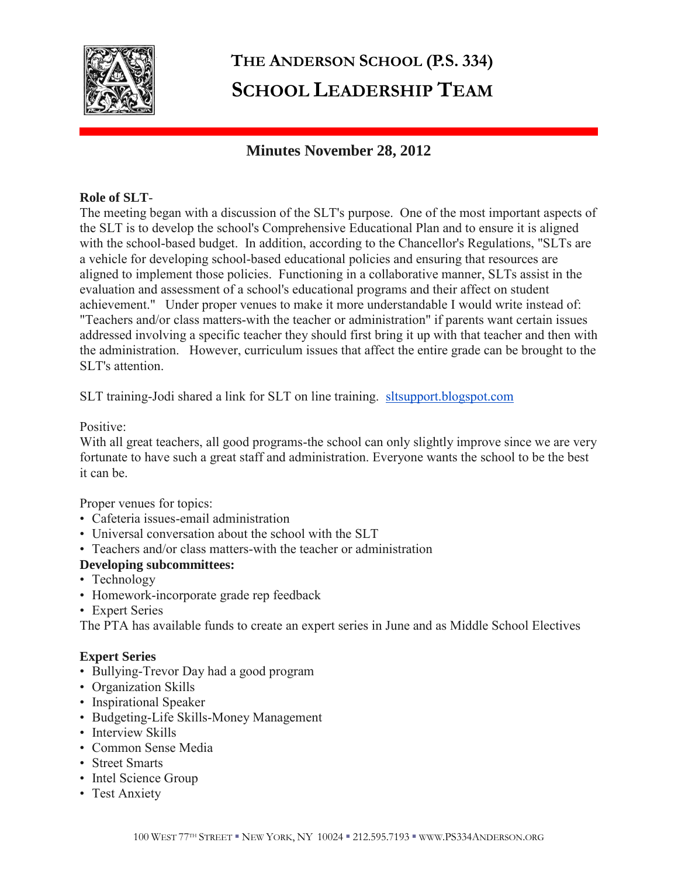

# **THE ANDERSON SCHOOL (P.S. 334) SCHOOL LEADERSHIP TEAM**

# **Minutes November 28, 2012**

## **Role of SLT**-

The meeting began with a discussion of the SLT's purpose. One of the most important aspects of the SLT is to develop the school's Comprehensive Educational Plan and to ensure it is aligned with the school-based budget. In addition, according to the Chancellor's Regulations, "SLTs are a vehicle for developing school-based educational policies and ensuring that resources are aligned to implement those policies. Functioning in a collaborative manner, SLTs assist in the evaluation and assessment of a school's educational programs and their affect on student achievement." Under proper venues to make it more understandable I would write instead of: "Teachers and/or class matters-with the teacher or administration" if parents want certain issues addressed involving a specific teacher they should first bring it up with that teacher and then with the administration. However, curriculum issues that affect the entire grade can be brought to the SLT's attention.

SLT training-Jodi shared a link for SLT on line training. [sltsupport.blogspot.com](http://sltsupport.blogspot.com/)

## Positive:

With all great teachers, all good programs-the school can only slightly improve since we are very fortunate to have such a great staff and administration. Everyone wants the school to be the best it can be.

Proper venues for topics:

- Cafeteria issues-email administration
- Universal conversation about the school with the SLT
- Teachers and/or class matters-with the teacher or administration

# **Developing subcommittees:**

- Technology
- Homework-incorporate grade rep feedback
- Expert Series

The PTA has available funds to create an expert series in June and as Middle School Electives

# **Expert Series**

- Bullying-Trevor Day had a good program
- Organization Skills
- Inspirational Speaker
- Budgeting-Life Skills-Money Management
- Interview Skills
- Common Sense Media
- Street Smarts
- Intel Science Group
- Test Anxiety